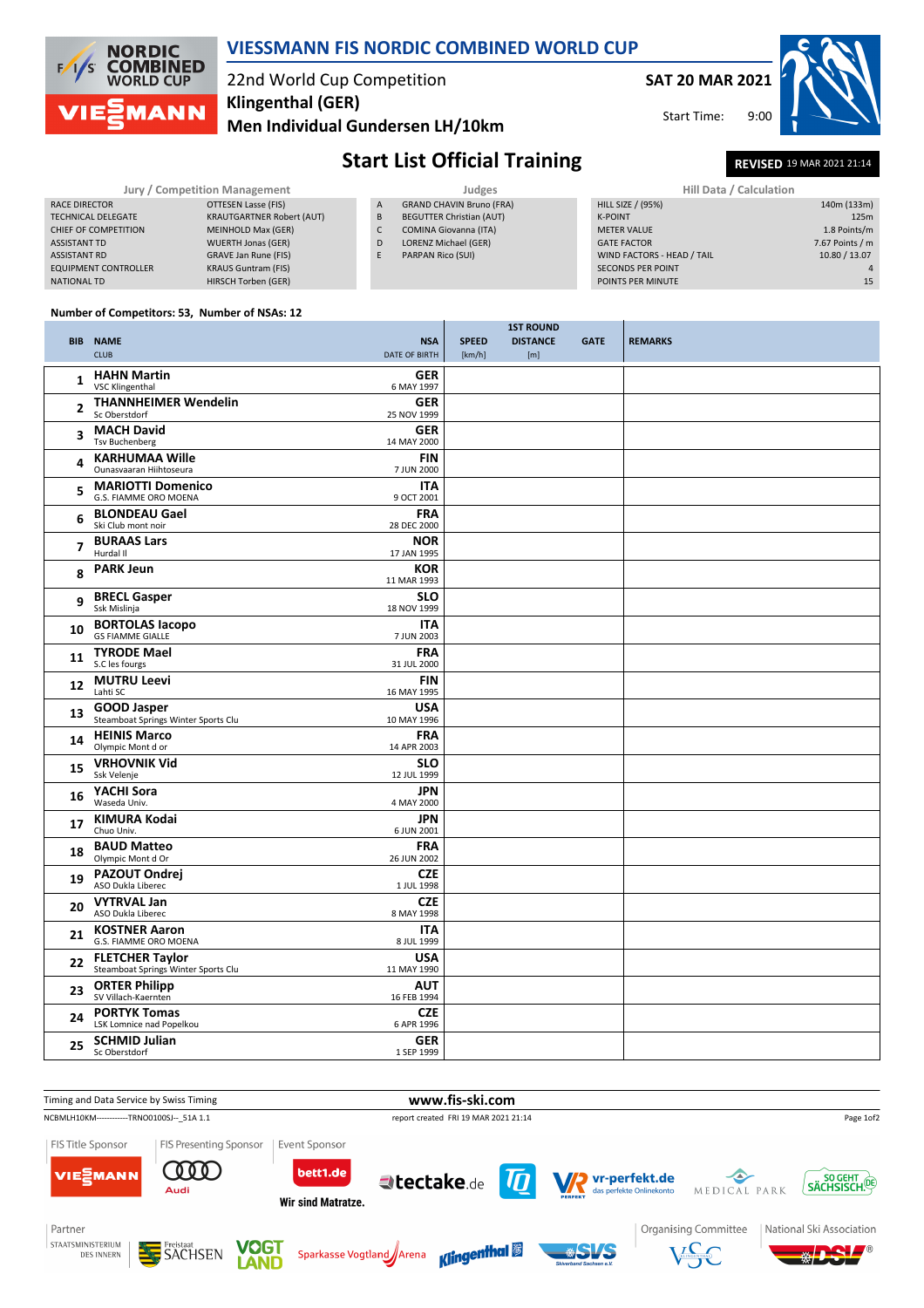

|                       |                                  |   |                                 |                | .                          |                 |
|-----------------------|----------------------------------|---|---------------------------------|----------------|----------------------------|-----------------|
|                       | Jury / Competition Management    |   | Judges                          |                | Hill Data / Calculation    |                 |
|                       | OTTESEN Lasse (FIS)              | A | <b>GRAND CHAVIN Bruno (FRA)</b> |                | <b>HILL SIZE / (95%)</b>   | 140m (133m)     |
| <b>ATE</b>            | <b>KRAUTGARTNER Robert (AUT)</b> | B | <b>BEGUTTER Christian (AUT)</b> | <b>K-POINT</b> |                            | 125m            |
| <b>ITION</b>          | MEINHOLD Max (GER)               |   | <b>COMINA Giovanna (ITA)</b>    |                | <b>METER VALUE</b>         | 1.8 Points/m    |
|                       | <b>WUERTH Jonas (GER)</b>        | D | LORENZ Michael (GER)            |                | <b>GATE FACTOR</b>         | 7.67 Points / m |
|                       | <b>GRAVE Jan Rune (FIS)</b>      |   | PARPAN Rico (SUI)               |                | WIND FACTORS - HEAD / TAIL | 10.80 / 13.07   |
| <b><i>FROLLER</i></b> | <b>KRAUS Guntram (FIS)</b>       |   |                                 |                | <b>SECONDS PER POINT</b>   | 4               |
|                       | HIRSCH Torben (GER)              |   |                                 |                | POINTS PER MINUTE          | 15              |

**1ST ROUND** 

POINTS PER MINUTE

## **Number of Competitors: 53, Number of NSAs: 12**

NATIONAL TD HIRSCH Torben (GER)

**RACE DIRECTOR OTTESEN Lasse (FIS)** TECHNICAL DELEGATE KRAUTGARTNER Robert (AUT) CHIEF OF COMPETITION MEINHOLD Max (GER) ASSISTANT TD WUERTH Jonas (GER) ASSISTANT RD GRAVE Jan Rune (FIS)<br>FOLUPMENT CONTROLLER KRAUS Guntram (FIS)

EQUIPMENT CONTROLLER

|    | <b>BIB NAME</b><br><b>CLUB</b>                                | <b>NSA</b><br><b>DATE OF BIRTH</b> | <b>SPEED</b><br>[km/h] | שווטטוויש<br><b>DISTANCE</b><br>[m] | <b>GATE</b> | <b>REMARKS</b> |
|----|---------------------------------------------------------------|------------------------------------|------------------------|-------------------------------------|-------------|----------------|
| 1  | <b>HAHN Martin</b><br><b>VSC Klingenthal</b>                  | <b>GER</b><br>6 MAY 1997           |                        |                                     |             |                |
| 2  | <b>THANNHEIMER Wendelin</b><br>Sc Oberstdorf                  | <b>GER</b><br>25 NOV 1999          |                        |                                     |             |                |
| 3  | <b>MACH David</b><br><b>Tsv Buchenberg</b>                    | <b>GER</b><br>14 MAY 2000          |                        |                                     |             |                |
| 4  | <b>KARHUMAA Wille</b><br>Ounasvaaran Hiihtoseura              | <b>FIN</b><br>7 JUN 2000           |                        |                                     |             |                |
| 5  | <b>MARIOTTI Domenico</b><br>G.S. FIAMME ORO MOENA             | <b>ITA</b><br>9 OCT 2001           |                        |                                     |             |                |
| 6  | <b>BLONDEAU Gael</b><br>Ski Club mont noir                    | <b>FRA</b><br>28 DEC 2000          |                        |                                     |             |                |
| 7  | <b>BURAAS Lars</b><br>Hurdal II                               | <b>NOR</b><br>17 JAN 1995          |                        |                                     |             |                |
| 8  | <b>PARK Jeun</b>                                              | KOR<br>11 MAR 1993                 |                        |                                     |             |                |
| 9  | <b>BRECL Gasper</b><br>Ssk Mislinja                           | <b>SLO</b><br>18 NOV 1999          |                        |                                     |             |                |
| 10 | <b>BORTOLAS lacopo</b><br><b>GS FIAMME GIALLE</b>             | <b>ITA</b><br>7 JUN 2003           |                        |                                     |             |                |
| 11 | <b>TYRODE Mael</b><br>S.C les fourgs                          | <b>FRA</b><br>31 JUL 2000          |                        |                                     |             |                |
| 12 | <b>MUTRU Leevi</b><br>Lahti SC                                | <b>FIN</b><br>16 MAY 1995          |                        |                                     |             |                |
| 13 | <b>GOOD Jasper</b><br>Steamboat Springs Winter Sports Clu     | <b>USA</b><br>10 MAY 1996          |                        |                                     |             |                |
| 14 | <b>HEINIS Marco</b><br>Olympic Mont d or                      | <b>FRA</b><br>14 APR 2003          |                        |                                     |             |                |
| 15 | <b>VRHOVNIK Vid</b><br>Ssk Velenje                            | <b>SLO</b><br>12 JUL 1999          |                        |                                     |             |                |
| 16 | YACHI Sora<br>Waseda Univ.                                    | <b>JPN</b><br>4 MAY 2000           |                        |                                     |             |                |
| 17 | <b>KIMURA Kodai</b><br>Chuo Univ.                             | <b>JPN</b><br>6 JUN 2001           |                        |                                     |             |                |
| 18 | <b>BAUD Matteo</b><br>Olympic Mont d Or                       | <b>FRA</b><br>26 JUN 2002          |                        |                                     |             |                |
| 19 | PAZOUT Ondrej<br>ASO Dukla Liberec                            | <b>CZE</b><br>1 JUL 1998           |                        |                                     |             |                |
| 20 | <b>VYTRVAL Jan</b><br>ASO Dukla Liberec                       | <b>CZE</b><br>8 MAY 1998           |                        |                                     |             |                |
| 21 | <b>KOSTNER Aaron</b><br>G.S. FIAMME ORO MOENA                 | <b>ITA</b><br>8 JUL 1999           |                        |                                     |             |                |
| 22 | <b>FLETCHER Taylor</b><br>Steamboat Springs Winter Sports Clu | <b>USA</b><br>11 MAY 1990          |                        |                                     |             |                |
| 23 | <b>ORTER Philipp</b><br>SV Villach-Kaernten                   | <b>AUT</b><br>16 FEB 1994          |                        |                                     |             |                |
| 24 | <b>PORTYK Tomas</b><br>LSK Lomnice nad Popelkou               | <b>CZE</b><br>6 APR 1996           |                        |                                     |             |                |
| 25 | <b>SCHMID Julian</b><br>Sc Oberstdorf                         | <b>GER</b><br>1 SEP 1999           |                        |                                     |             |                |

Timing and Data Service by Swiss Timing **www.fis-ski.com** NCBMLH10KM------------TRNO0100SJ--\_51A 1.1 report created FRI 19 MAR 2021 21:14 Page 1of2FIS Title Sponsor FIS Presenting Sponsor Event Sponsor **COOD** VIE<mark>EMANN</mark> bett1.de Vr-perfekt.de tectake.de MEDICAL PARK SÄCHSISCH.<sup>00</sup> Audi Wir sind Matratze. Partner Organising Committee National Ski Association **Klingenthal** STAATSMINISTERIUM **VOGT** 

₩ト

Sparkasse Vogtland Arena

I ANN

DES INNERN



<sup>'</sup>®



Start Time: